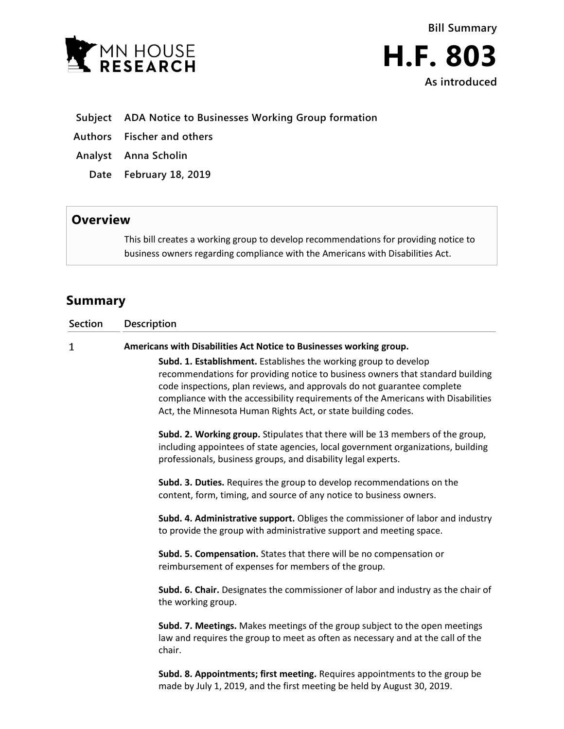



- **Subject ADA Notice to Businesses Working Group formation**
- **Authors Fischer and others**
- **Analyst Anna Scholin**
	- **Date February 18, 2019**

## **Overview**

This bill creates a working group to develop recommendations for providing notice to business owners regarding compliance with the Americans with Disabilities Act.

## **Summary**

| <b>Section</b> | Description                                                                                                                                                                                                                                                                                                                                                                         |
|----------------|-------------------------------------------------------------------------------------------------------------------------------------------------------------------------------------------------------------------------------------------------------------------------------------------------------------------------------------------------------------------------------------|
| $\mathbf 1$    | Americans with Disabilities Act Notice to Businesses working group.                                                                                                                                                                                                                                                                                                                 |
|                | Subd. 1. Establishment. Establishes the working group to develop<br>recommendations for providing notice to business owners that standard building<br>code inspections, plan reviews, and approvals do not guarantee complete<br>compliance with the accessibility requirements of the Americans with Disabilities<br>Act, the Minnesota Human Rights Act, or state building codes. |
|                | Subd. 2. Working group. Stipulates that there will be 13 members of the group,<br>including appointees of state agencies, local government organizations, building<br>professionals, business groups, and disability legal experts.                                                                                                                                                 |
|                | Subd. 3. Duties. Requires the group to develop recommendations on the<br>content, form, timing, and source of any notice to business owners.                                                                                                                                                                                                                                        |
|                | Subd. 4. Administrative support. Obliges the commissioner of labor and industry<br>to provide the group with administrative support and meeting space.                                                                                                                                                                                                                              |
|                | Subd. 5. Compensation. States that there will be no compensation or<br>reimbursement of expenses for members of the group.                                                                                                                                                                                                                                                          |
|                | Subd. 6. Chair. Designates the commissioner of labor and industry as the chair of<br>the working group.                                                                                                                                                                                                                                                                             |
|                | Subd. 7. Meetings. Makes meetings of the group subject to the open meetings<br>law and requires the group to meet as often as necessary and at the call of the<br>chair.                                                                                                                                                                                                            |
|                | Subd. 8. Appointments; first meeting. Requires appointments to the group be<br>made by July 1, 2019, and the first meeting be held by August 30, 2019.                                                                                                                                                                                                                              |